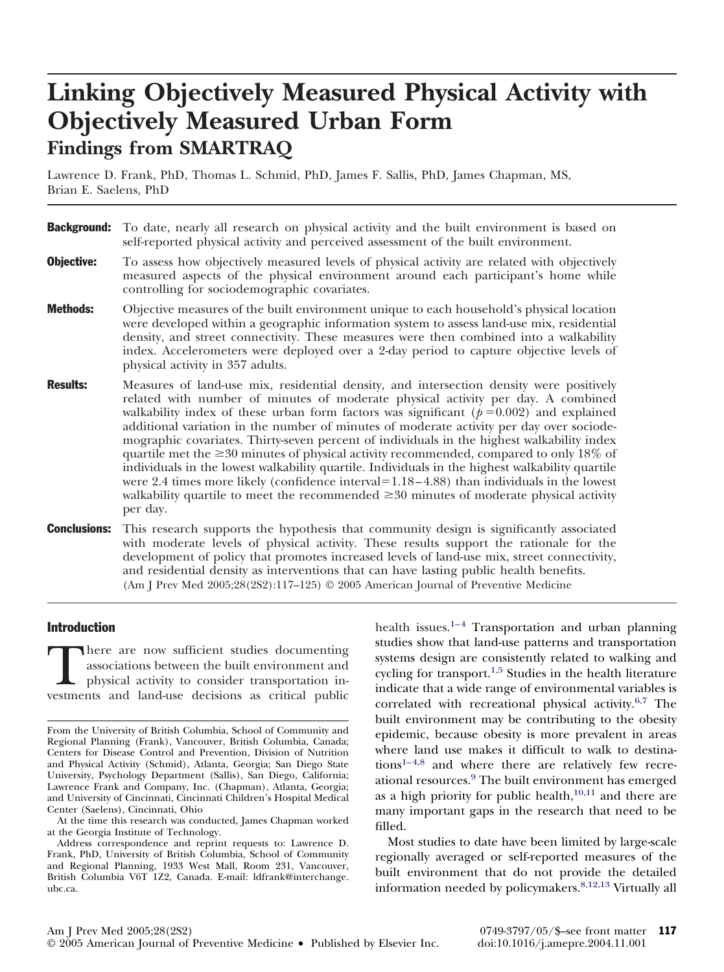# **Linking Objectively Measured Physical Activity with Objectively Measured Urban Form Findings from SMARTRAQ**

Lawrence D. Frank, PhD, Thomas L. Schmid, PhD, James F. Sallis, PhD, James Chapman, MS, Brian E. Saelens, PhD

|            | <b>Background:</b> To date, nearly all research on physical activity and the built environment is based on                                                                                                                       |
|------------|----------------------------------------------------------------------------------------------------------------------------------------------------------------------------------------------------------------------------------|
|            | self-reported physical activity and perceived assessment of the built environment.                                                                                                                                               |
| Objective: | To assess how objectively measured levels of physical activity are related with objectively<br>measured aspects of the physical environment around each participant's home while<br>controlling for sociodemographic covariates. |

- **Methods:** Objective measures of the built environment unique to each household's physical location were developed within a geographic information system to assess land-use mix, residential density, and street connectivity. These measures were then combined into a walkability index. Accelerometers were deployed over a 2-day period to capture objective levels of physical activity in 357 adults.
- **Results:** Measures of land-use mix, residential density, and intersection density were positively related with number of minutes of moderate physical activity per day. A combined walkability index of these urban form factors was significant  $(p=0.002)$  and explained additional variation in the number of minutes of moderate activity per day over sociodemographic covariates. Thirty-seven percent of individuals in the highest walkability index quartile met the  $\geq$  30 minutes of physical activity recommended, compared to only 18% of individuals in the lowest walkability quartile. Individuals in the highest walkability quartile were 2.4 times more likely (confidence interval $=1.18-4.88$ ) than individuals in the lowest walkability quartile to meet the recommended  $\geq 30$  minutes of moderate physical activity per day.
- **Conclusions:** This research supports the hypothesis that community design is significantly associated with moderate levels of physical activity. These results support the rationale for the development of policy that promotes increased levels of land-use mix, street connectivity, and residential density as interventions that can have lasting public health benefits. (Am J Prev Med 2005;28(2S2):117–125) © 2005 American Journal of Preventive Medicine

## Introduction

There are now sufficient studies documenting<br>associations between the built environment and<br>physical activity to consider transportation in-<br>vestments and land-use decisions as critical public associations between the built environment and physical activity to consider transportation investments and land-use decisions as critical public

At the time this research was conducted, James Chapman worked at the Georgia Institute of Technology.

health issues. $1-4$  Transportation and urban planning studies show that land-use patterns and transportation systems design are consistently related to walking and cycling for transport[.1,5](#page-7-0) Studies in the health literature indicate that a wide range of environmental variables is correlated with recreational physical activity[.6,7](#page-7-0) The built environment may be contributing to the obesity epidemic, because obesity is more prevalent in areas where land use makes it difficult to walk to destination[s1–4,8](#page-7-0) and where there are relatively few recreational resources[.9](#page-7-0) The built environment has emerged as a high priority for public health, $10,11$  and there are many important gaps in the research that need to be filled.

Most studies to date have been limited by large-scale regionally averaged or self-reported measures of the built environment that do not provide the detailed information needed by policymakers[.8,12,13](#page-7-0) Virtually all

From the University of British Columbia, School of Community and Regional Planning (Frank), Vancouver, British Columbia, Canada; Centers for Disease Control and Prevention, Division of Nutrition and Physical Activity (Schmid), Atlanta, Georgia; San Diego State University, Psychology Department (Sallis), San Diego, California; Lawrence Frank and Company, Inc. (Chapman), Atlanta, Georgia; and University of Cincinnati, Cincinnati Children's Hospital Medical Center (Saelens), Cincinnati, Ohio

Address correspondence and reprint requests to: Lawrence D. Frank, PhD, University of British Columbia, School of Community and Regional Planning, 1933 West Mall, Room 231, Vancouver, British Columbia V6T 1Z2, Canada. E-mail: ldfrank@interchange. ubc.ca.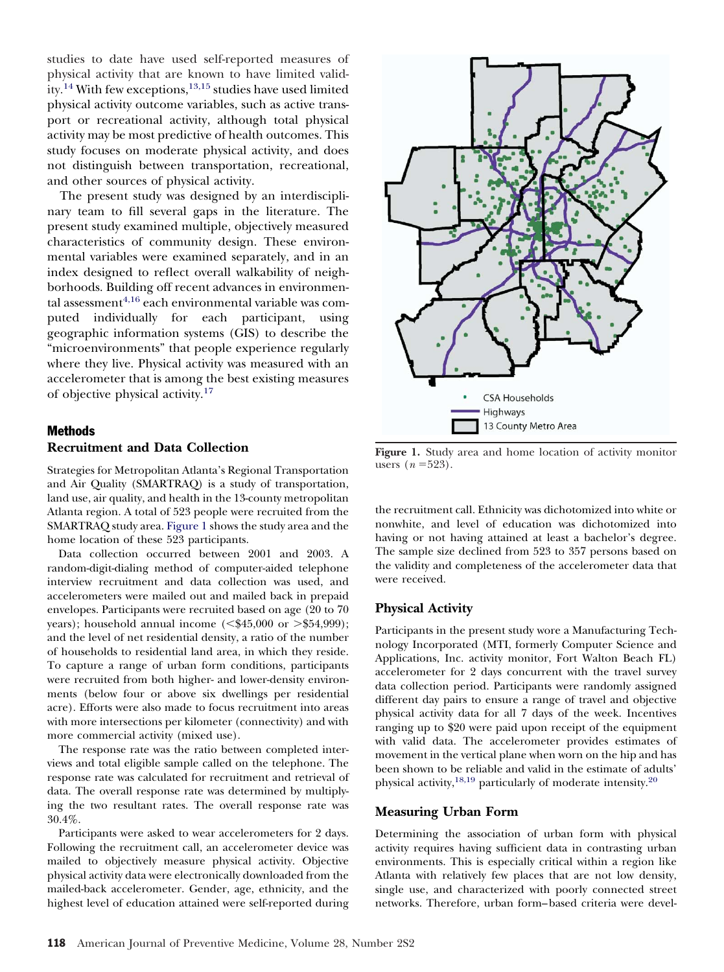studies to date have used self-reported measures of physical activity that are known to have limited validity[.14](#page-8-0) With few exceptions[,13,15](#page-8-0) studies have used limited physical activity outcome variables, such as active transport or recreational activity, although total physical activity may be most predictive of health outcomes. This study focuses on moderate physical activity, and does not distinguish between transportation, recreational, and other sources of physical activity.

The present study was designed by an interdisciplinary team to fill several gaps in the literature. The present study examined multiple, objectively measured characteristics of community design. These environmental variables were examined separately, and in an index designed to reflect overall walkability of neighborhoods. Building off recent advances in environmental assessment $4,16$  each environmental variable was computed individually for each participant, using geographic information systems (GIS) to describe the "microenvironments" that people experience regularly where they live. Physical activity was measured with an accelerometer that is among the best existing measures of objective physical activity[.17](#page-8-0)

# Methods **Recruitment and Data Collection**

Strategies for Metropolitan Atlanta's Regional Transportation and Air Quality (SMARTRAQ) is a study of transportation, land use, air quality, and health in the 13-county metropolitan Atlanta region. A total of 523 people were recruited from the SMARTRAQ study area. Figure 1 shows the study area and the home location of these 523 participants.

Data collection occurred between 2001 and 2003. A random-digit-dialing method of computer-aided telephone interview recruitment and data collection was used, and accelerometers were mailed out and mailed back in prepaid envelopes. Participants were recruited based on age (20 to 70 years); household annual income (<\$45,000 or >\$54,999); and the level of net residential density, a ratio of the number of households to residential land area, in which they reside. To capture a range of urban form conditions, participants were recruited from both higher- and lower-density environments (below four or above six dwellings per residential acre). Efforts were also made to focus recruitment into areas with more intersections per kilometer (connectivity) and with more commercial activity (mixed use).

The response rate was the ratio between completed interviews and total eligible sample called on the telephone. The response rate was calculated for recruitment and retrieval of data. The overall response rate was determined by multiplying the two resultant rates. The overall response rate was 30.4%.

Participants were asked to wear accelerometers for 2 days. Following the recruitment call, an accelerometer device was mailed to objectively measure physical activity. Objective physical activity data were electronically downloaded from the mailed-back accelerometer. Gender, age, ethnicity, and the highest level of education attained were self-reported during



**Figure 1.** Study area and home location of activity monitor users  $(n = 523)$ .

the recruitment call. Ethnicity was dichotomized into white or nonwhite, and level of education was dichotomized into having or not having attained at least a bachelor's degree. The sample size declined from 523 to 357 persons based on the validity and completeness of the accelerometer data that were received.

## **Physical Activity**

Participants in the present study wore a Manufacturing Technology Incorporated (MTI, formerly Computer Science and Applications, Inc. activity monitor, Fort Walton Beach FL) accelerometer for 2 days concurrent with the travel survey data collection period. Participants were randomly assigned different day pairs to ensure a range of travel and objective physical activity data for all 7 days of the week. Incentives ranging up to \$20 were paid upon receipt of the equipment with valid data. The accelerometer provides estimates of movement in the vertical plane when worn on the hip and has been shown to be reliable and valid in the estimate of adults' physical activity[,18,19](#page-8-0) particularly of moderate intensity[.20](#page-8-0)

## **Measuring Urban Form**

Determining the association of urban form with physical activity requires having sufficient data in contrasting urban environments. This is especially critical within a region like Atlanta with relatively few places that are not low density, single use, and characterized with poorly connected street networks. Therefore, urban form–based criteria were devel-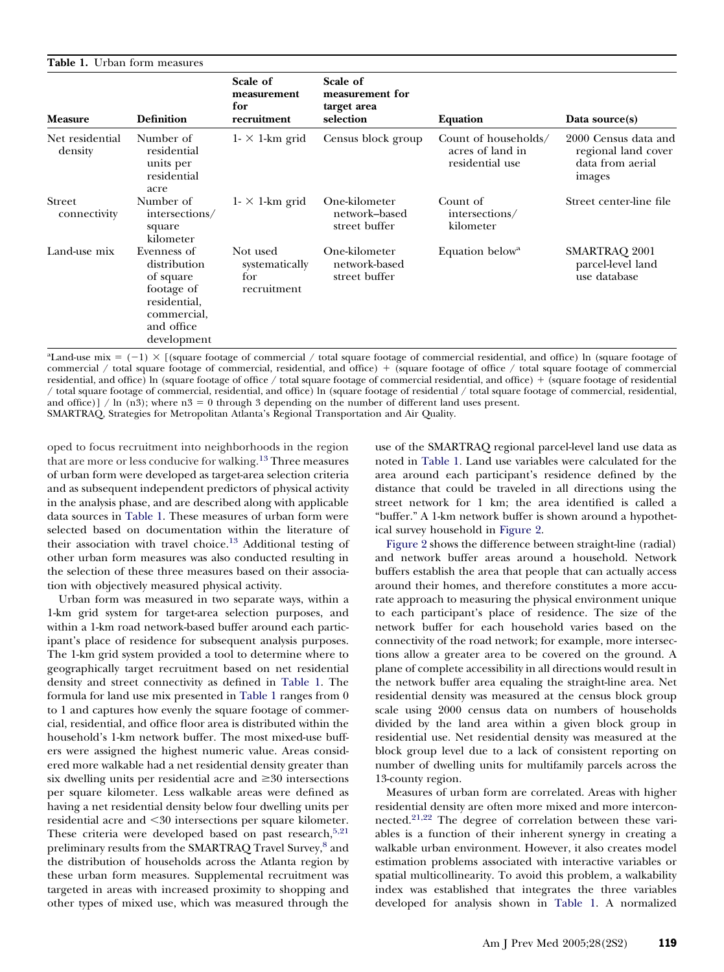| <b>Table 1.</b> Urban form measures |                                                                                                                    |                                                  |                                                         |                                                             |                                                                           |  |
|-------------------------------------|--------------------------------------------------------------------------------------------------------------------|--------------------------------------------------|---------------------------------------------------------|-------------------------------------------------------------|---------------------------------------------------------------------------|--|
| <b>Measure</b>                      | <b>Definition</b>                                                                                                  | Scale of<br>measurement<br>for<br>recruitment    | Scale of<br>measurement for<br>target area<br>selection | <b>Equation</b>                                             | Data source $(s)$                                                         |  |
| Net residential<br>density          | Number of<br>residential<br>units per<br>residential<br>acre                                                       | $1 - \times 1$ -km grid                          | Census block group                                      | Count of households/<br>acres of land in<br>residential use | 2000 Census data and<br>regional land cover<br>data from aerial<br>images |  |
| <b>Street</b><br>connectivity       | Number of<br>intersections/<br>square<br>kilometer                                                                 | $1 - \times 1$ -km grid                          | One-kilometer<br>network-based<br>street buffer         | Count of<br>intersections/<br>kilometer                     | Street center-line file                                                   |  |
| Land-use mix                        | Evenness of<br>distribution<br>of square<br>footage of<br>residential,<br>commercial.<br>and office<br>development | Not used<br>systematically<br>for<br>recruitment | One-kilometer<br>network-based<br>street buffer         | Equation below <sup>a</sup>                                 | SMARTRAQ 2001<br>parcel-level land<br>use database                        |  |

"Land-use mix  $= (-1) \times$  [(square footage of commercial / total square footage of commercial residential, and office) ln (square footage of commercial / total square footage of commercial, residential, and office) + (square footage of office / total square footage of commercial residential, and office) ln (square footage of office / total square footage of commercial residential, and office) (square footage of residential / total square footage of commercial, residential, and office) ln (square footage of residential / total square footage of commercial, residential, and office)] / ln (n3); where  $n3 = 0$  through 3 depending on the number of different land uses present. SMARTRAQ, Strategies for Metropolitan Atlanta's Regional Transportation and Air Quality.

oped to focus recruitment into neighborhoods in the region that are more or less conducive for walking.<sup>13</sup> Three measures of urban form were developed as target-area selection criteria and as subsequent independent predictors of physical activity in the analysis phase, and are described along with applicable data sources in Table 1. These measures of urban form were selected based on documentation within the literature of their association with travel choice[.13](#page-8-0) Additional testing of other urban form measures was also conducted resulting in the selection of these three measures based on their association with objectively measured physical activity.

Urban form was measured in two separate ways, within a 1-km grid system for target-area selection purposes, and within a 1-km road network-based buffer around each participant's place of residence for subsequent analysis purposes. The 1-km grid system provided a tool to determine where to geographically target recruitment based on net residential density and street connectivity as defined in Table 1. The formula for land use mix presented in Table 1 ranges from 0 to 1 and captures how evenly the square footage of commercial, residential, and office floor area is distributed within the household's 1-km network buffer. The most mixed-use buffers were assigned the highest numeric value. Areas considered more walkable had a net residential density greater than six dwelling units per residential acre and  $\geq 30$  intersections per square kilometer. Less walkable areas were defined as having a net residential density below four dwelling units per residential acre and <30 intersections per square kilometer. These criteria were developed based on past research,<sup>5,21</sup> preliminary results from the SMARTRAQ Travel Survey,<sup>8</sup> and the distribution of households across the Atlanta region by these urban form measures. Supplemental recruitment was targeted in areas with increased proximity to shopping and other types of mixed use, which was measured through the use of the SMARTRAQ regional parcel-level land use data as noted in Table 1. Land use variables were calculated for the area around each participant's residence defined by the distance that could be traveled in all directions using the street network for 1 km; the area identified is called a "buffer." A 1-km network buffer is shown around a hypothetical survey household in [Figure 2.](#page-3-0)

[Figure 2](#page-3-0) shows the difference between straight-line (radial) and network buffer areas around a household. Network buffers establish the area that people that can actually access around their homes, and therefore constitutes a more accurate approach to measuring the physical environment unique to each participant's place of residence. The size of the network buffer for each household varies based on the connectivity of the road network; for example, more intersections allow a greater area to be covered on the ground. A plane of complete accessibility in all directions would result in the network buffer area equaling the straight-line area. Net residential density was measured at the census block group scale using 2000 census data on numbers of households divided by the land area within a given block group in residential use. Net residential density was measured at the block group level due to a lack of consistent reporting on number of dwelling units for multifamily parcels across the 13-county region.

Measures of urban form are correlated. Areas with higher residential density are often more mixed and more interconnected.<sup>21,22</sup> The degree of correlation between these variables is a function of their inherent synergy in creating a walkable urban environment. However, it also creates model estimation problems associated with interactive variables or spatial multicollinearity. To avoid this problem, a walkability index was established that integrates the three variables developed for analysis shown in Table 1. A normalized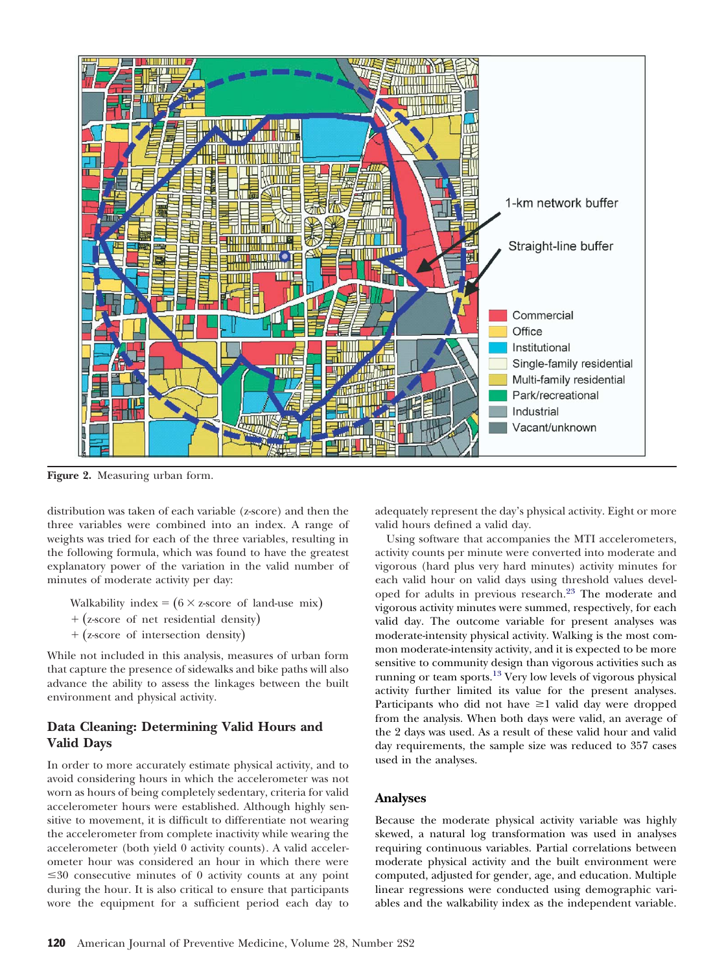<span id="page-3-0"></span>

**Figure 2.** Measuring urban form.

distribution was taken of each variable (z-score) and then the three variables were combined into an index. A range of weights was tried for each of the three variables, resulting in the following formula, which was found to have the greatest explanatory power of the variation in the valid number of minutes of moderate activity per day:

- Walkability index =  $(6 \times z$ -score of land-use mix)
- + (z-score of net residential density)
- $+(z\text{-score of intersection density})$

While not included in this analysis, measures of urban form that capture the presence of sidewalks and bike paths will also advance the ability to assess the linkages between the built environment and physical activity.

# **Data Cleaning: Determining Valid Hours and Valid Days**

In order to more accurately estimate physical activity, and to avoid considering hours in which the accelerometer was not worn as hours of being completely sedentary, criteria for valid accelerometer hours were established. Although highly sensitive to movement, it is difficult to differentiate not wearing the accelerometer from complete inactivity while wearing the accelerometer (both yield 0 activity counts). A valid accelerometer hour was considered an hour in which there were  $\leq$  30 consecutive minutes of 0 activity counts at any point during the hour. It is also critical to ensure that participants wore the equipment for a sufficient period each day to

adequately represent the day's physical activity. Eight or more valid hours defined a valid day.

Using software that accompanies the MTI accelerometers, activity counts per minute were converted into moderate and vigorous (hard plus very hard minutes) activity minutes for each valid hour on valid days using threshold values developed for adults in previous research.<sup>23</sup> The moderate and vigorous activity minutes were summed, respectively, for each valid day. The outcome variable for present analyses was moderate-intensity physical activity. Walking is the most common moderate-intensity activity, and it is expected to be more sensitive to community design than vigorous activities such as running or team sports[.13](#page-8-0) Very low levels of vigorous physical activity further limited its value for the present analyses. Participants who did not have  $\geq 1$  valid day were dropped from the analysis. When both days were valid, an average of the 2 days was used. As a result of these valid hour and valid day requirements, the sample size was reduced to 357 cases used in the analyses.

## **Analyses**

Because the moderate physical activity variable was highly skewed, a natural log transformation was used in analyses requiring continuous variables. Partial correlations between moderate physical activity and the built environment were computed, adjusted for gender, age, and education. Multiple linear regressions were conducted using demographic variables and the walkability index as the independent variable.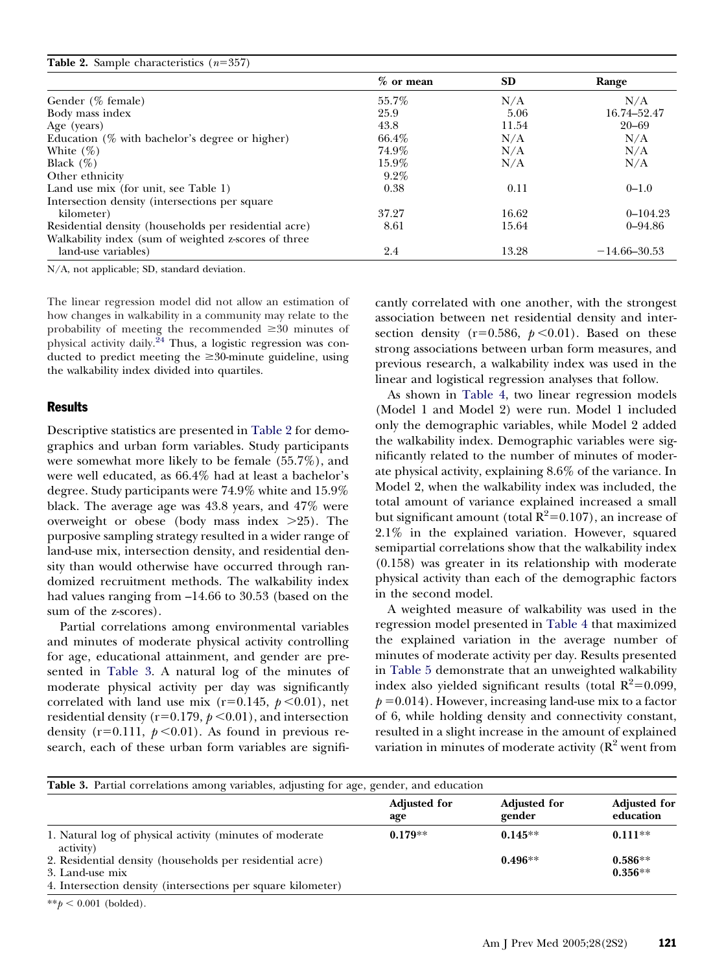#### **Table 2.** Sample characteristics  $(n=357)$

|                                                       | $%$ or mean | <b>SD</b> | Range            |
|-------------------------------------------------------|-------------|-----------|------------------|
| Gender (% female)                                     | 55.7%       | N/A       | N/A              |
| Body mass index                                       | 25.9        | 5.06      | 16.74-52.47      |
| Age (years)                                           | 43.8        | 11.54     | $20 - 69$        |
| Education $(\%$ with bachelor's degree or higher)     | 66.4%       | N/A       | N/A              |
| White $(\%)$                                          | 74.9%       | N/A       | N/A              |
| Black $(\%)$                                          | 15.9%       | N/A       | N/A              |
| Other ethnicity                                       | $9.2\%$     |           |                  |
| Land use mix (for unit, see Table 1)                  | 0.38        | 0.11      | $0 - 1.0$        |
| Intersection density (intersections per square        |             |           |                  |
| kilometer)                                            | 37.27       | 16.62     | $0 - 104.23$     |
| Residential density (households per residential acre) | 8.61        | 15.64     | $0 - 94.86$      |
| Walkability index (sum of weighted z-scores of three  |             |           |                  |
| land-use variables)                                   | 2.4         | 13.28     | $-14.66 - 30.53$ |

N/A, not applicable; SD, standard deviation.

The linear regression model did not allow an estimation of how changes in walkability in a community may relate to the probability of meeting the recommended  $\geq 30$  minutes of physical activity daily.<sup>24</sup> Thus, a logistic regression was conducted to predict meeting the  $\geq 30$ -minute guideline, using the walkability index divided into quartiles.

#### Results

Descriptive statistics are presented in Table 2 for demographics and urban form variables. Study participants were somewhat more likely to be female (55.7%), and were well educated, as 66.4% had at least a bachelor's degree. Study participants were 74.9% white and 15.9% black. The average age was 43.8 years, and 47% were overweight or obese (body mass index  $>25$ ). The purposive sampling strategy resulted in a wider range of land-use mix, intersection density, and residential density than would otherwise have occurred through randomized recruitment methods. The walkability index had values ranging from –14.66 to 30.53 (based on the sum of the z-scores).

Partial correlations among environmental variables and minutes of moderate physical activity controlling for age, educational attainment, and gender are presented in Table 3. A natural log of the minutes of moderate physical activity per day was significantly correlated with land use mix ( $r=0.145$ ,  $p < 0.01$ ), net residential density ( $r=0.179, p < 0.01$ ), and intersection density ( $r=0.111$ ,  $p < 0.01$ ). As found in previous research, each of these urban form variables are significantly correlated with one another, with the strongest association between net residential density and intersection density ( $r=0.586$ ,  $p < 0.01$ ). Based on these strong associations between urban form measures, and previous research, a walkability index was used in the linear and logistical regression analyses that follow.

As shown in [Table 4,](#page-5-0) two linear regression models (Model 1 and Model 2) were run. Model 1 included only the demographic variables, while Model 2 added the walkability index. Demographic variables were significantly related to the number of minutes of moderate physical activity, explaining 8.6% of the variance. In Model 2, when the walkability index was included, the total amount of variance explained increased a small but significant amount (total  $R^2$ =0.107), an increase of 2.1% in the explained variation. However, squared semipartial correlations show that the walkability index (0.158) was greater in its relationship with moderate physical activity than each of the demographic factors in the second model.

A weighted measure of walkability was used in the regression model presented in [Table 4](#page-5-0) that maximized the explained variation in the average number of minutes of moderate activity per day. Results presented in [Table 5](#page-5-0) demonstrate that an unweighted walkability index also yielded significant results (total  $R^2$ =0.099,  $p = 0.014$ ). However, increasing land-use mix to a factor of 6, while holding density and connectivity constant, resulted in a slight increase in the amount of explained variation in minutes of moderate activity  $(R^2$  went from

| Table 3. Partial correlations among variables, adjusting for age, gender, and education                                                     |                            |                               |                                  |  |  |
|---------------------------------------------------------------------------------------------------------------------------------------------|----------------------------|-------------------------------|----------------------------------|--|--|
|                                                                                                                                             | <b>Adjusted for</b><br>age | <b>Adjusted for</b><br>gender | <b>Adjusted for</b><br>education |  |  |
| 1. Natural log of physical activity (minutes of moderate<br>activity)                                                                       | $0.179**$                  | $0.145**$                     | $0.111**$                        |  |  |
| 2. Residential density (households per residential acre)<br>3. Land-use mix<br>4. Intersection density (intersections per square kilometer) |                            | $0.496**$                     | $0.586**$<br>$0.356**$           |  |  |

 $**p < 0.001$  (bolded).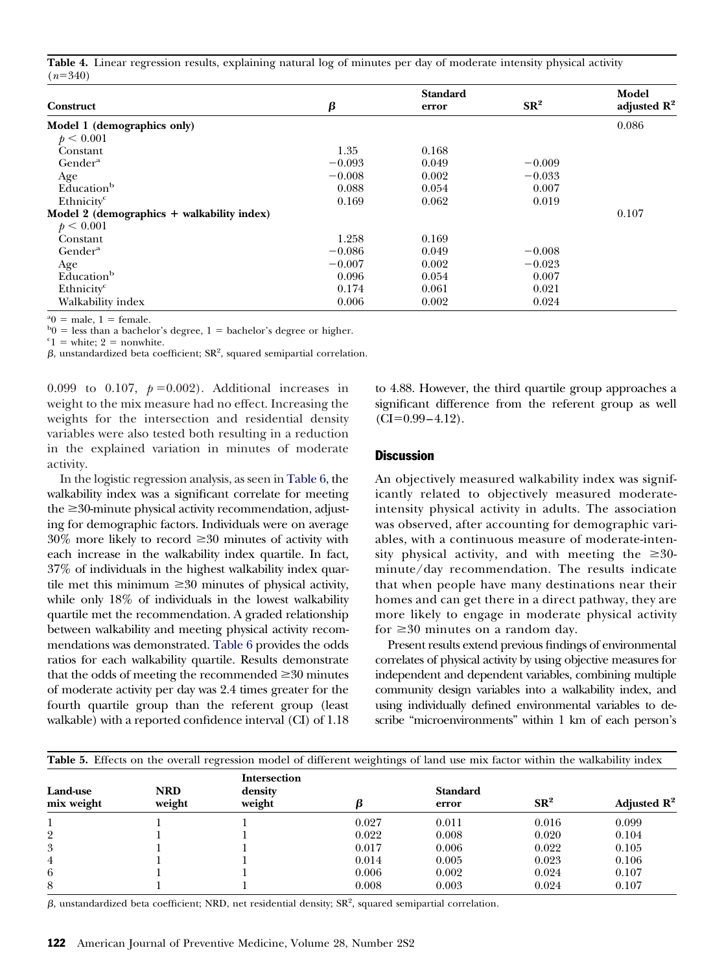<span id="page-5-0"></span>**Table 4.** Linear regression results, explaining natural log of minutes per day of moderate intensity physical activity  $(n=340)$ 

|                                              |          | <b>Standard</b> |                 | Model          |  |
|----------------------------------------------|----------|-----------------|-----------------|----------------|--|
| <b>Construct</b>                             | β        | error           | SR <sup>2</sup> | adjusted $R^2$ |  |
| Model 1 (demographics only)                  |          |                 |                 | 0.086          |  |
| p < 0.001                                    |          |                 |                 |                |  |
| Constant                                     | 1.35     | 0.168           |                 |                |  |
| Gender <sup>a</sup>                          | $-0.093$ | 0.049           | $-0.009$        |                |  |
| Age                                          | $-0.008$ | 0.002           | $-0.033$        |                |  |
| Education <sup>b</sup>                       | 0.088    | 0.054           | 0.007           |                |  |
| Ethnicity <sup>c</sup>                       | 0.169    | 0.062           | 0.019           |                |  |
| Model 2 (demographics $+$ walkability index) |          |                 |                 | 0.107          |  |
| p < 0.001                                    |          |                 |                 |                |  |
| Constant                                     | 1.258    | 0.169           |                 |                |  |
| Gender <sup>a</sup>                          | $-0.086$ | 0.049           | $-0.008$        |                |  |
| Age                                          | $-0.007$ | 0.002           | $-0.023$        |                |  |
| Education <sup>b</sup>                       | 0.096    | 0.054           | 0.007           |                |  |
| Ethnicity <sup>c</sup>                       | 0.174    | 0.061           | 0.021           |                |  |
| Walkability index                            | 0.006    | 0.002           | 0.024           |                |  |

 ${}^{a}0$  = male, 1 = female.<br> ${}^{b}0$  = less than a bachel

 $b_0$  = less than a bachelor's degree, 1 = bachelor's degree or higher.

 $c_1$  = white; 2 = nonwhite.

 $\beta$ , unstandardized beta coefficient; SR<sup>2</sup>, squared semipartial correlation.

0.099 to 0.107,  $p = 0.002$ ). Additional increases in weight to the mix measure had no effect. Increasing the weights for the intersection and residential density variables were also tested both resulting in a reduction in the explained variation in minutes of moderate activity.

In the logistic regression analysis, as seen in [Table 6,](#page-6-0) the walkability index was a significant correlate for meeting the  $\geq$  30-minute physical activity recommendation, adjusting for demographic factors. Individuals were on average  $30\%$  more likely to record  $\geq 30$  minutes of activity with each increase in the walkability index quartile. In fact, 37% of individuals in the highest walkability index quartile met this minimum  $\geq 30$  minutes of physical activity, while only 18% of individuals in the lowest walkability quartile met the recommendation. A graded relationship between walkability and meeting physical activity recommendations was demonstrated. [Table 6](#page-6-0) provides the odds ratios for each walkability quartile. Results demonstrate that the odds of meeting the recommended  $\geq 30$  minutes of moderate activity per day was 2.4 times greater for the fourth quartile group than the referent group (least walkable) with a reported confidence interval (CI) of 1.18

to 4.88. However, the third quartile group approaches a significant difference from the referent group as well  $(CI=0.99-4.12)$ .

## **Discussion**

An objectively measured walkability index was significantly related to objectively measured moderateintensity physical activity in adults. The association was observed, after accounting for demographic variables, with a continuous measure of moderate-intensity physical activity, and with meeting the  $\geq 30$ minute/day recommendation. The results indicate that when people have many destinations near their homes and can get there in a direct pathway, they are more likely to engage in moderate physical activity for  $\geq 30$  minutes on a random day.

Present results extend previous findings of environmental correlates of physical activity by using objective measures for independent and dependent variables, combining multiple community design variables into a walkability index, and using individually defined environmental variables to describe "microenvironments" within 1 km of each person's

| Table 5. Effects on the overall regression model of different weightings of land use mix factor within the walkability index |                      |                                          |       |                          |        |                         |  |
|------------------------------------------------------------------------------------------------------------------------------|----------------------|------------------------------------------|-------|--------------------------|--------|-------------------------|--|
| Land-use<br>mix weight                                                                                                       | <b>NRD</b><br>weight | <b>Intersection</b><br>density<br>weight |       | <b>Standard</b><br>error | $SR^2$ | Adjusted $\mathbb{R}^2$ |  |
|                                                                                                                              |                      |                                          | 0.027 | 0.011                    | 0.016  | 0.099                   |  |
| 2                                                                                                                            |                      |                                          | 0.022 | 0.008                    | 0.020  | 0.104                   |  |
| 3                                                                                                                            |                      |                                          | 0.017 | 0.006                    | 0.022  | 0.105                   |  |
| 4                                                                                                                            |                      |                                          | 0.014 | 0.005                    | 0.023  | 0.106                   |  |
| 6                                                                                                                            |                      |                                          | 0.006 | 0.002                    | 0.024  | 0.107                   |  |
| 8                                                                                                                            |                      |                                          | 0.008 | 0.003                    | 0.024  | 0.107                   |  |

 $\beta$ , unstandardized beta coefficient; NRD, net residential density; SR $^2$ , squared semipartial correlation.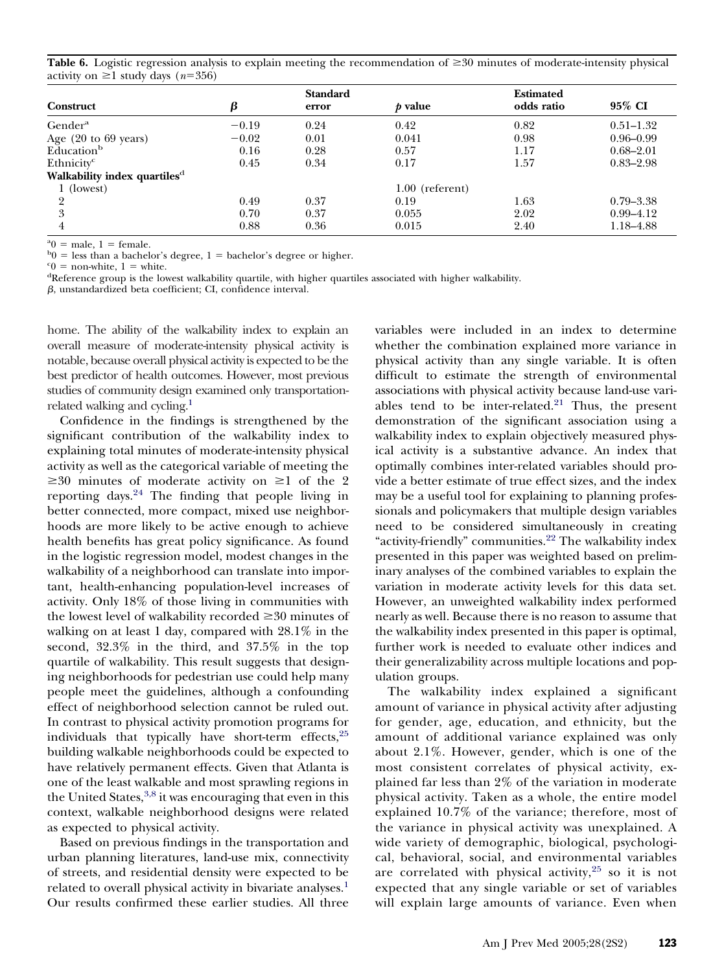<span id="page-6-0"></span>**Table 6.** Logistic regression analysis to explain meeting the recommendation of  $\geq 30$  minutes of moderate-intensity physical activity on  $\geq 1$  study days (*n*=356)

|                                                                   |         | <b>Standard</b> |                   | <b>Estimated</b> |               |
|-------------------------------------------------------------------|---------|-----------------|-------------------|------------------|---------------|
| Construct                                                         | ß       | error           | <i>b</i> value    | odds ratio       | 95% CI        |
| Gender <sup>a</sup>                                               | $-0.19$ | 0.24            | 0.42              | 0.82             | $0.51 - 1.32$ |
|                                                                   | $-0.02$ | 0.01            | 0.041             | 0.98             | $0.96 - 0.99$ |
| Age $(20 \text{ to } 69 \text{ years})$<br>Education <sup>b</sup> | 0.16    | 0.28            | 0.57              | 1.17             | $0.68 - 2.01$ |
| Ethnicity <sup>c</sup>                                            | 0.45    | 0.34            | 0.17              | 1.57             | $0.83 - 2.98$ |
| Walkability index quartiles <sup>d</sup>                          |         |                 |                   |                  |               |
| 1 (lowest)                                                        |         |                 | $1.00$ (referent) |                  |               |
| 9                                                                 | 0.49    | 0.37            | 0.19              | 1.63             | $0.79 - 3.38$ |
| 3                                                                 | 0.70    | 0.37            | 0.055             | 2.02             | $0.99 - 4.12$ |
| 4                                                                 | 0.88    | 0.36            | 0.015             | 2.40             | 1.18–4.88     |

 ${}^{a}0$  = male, 1 = female.<br> ${}^{b}0$  = less than a bachel

 $b_0$  = less than a bachelor's degree, 1 = bachelor's degree or higher.

 $c_0$  = non-white, 1 = white.

<sup>d</sup>Reference group is the lowest walkability quartile, with higher quartiles associated with higher walkability.

 $\beta$ , unstandardized beta coefficient; CI, confidence interval.

home. The ability of the walkability index to explain an overall measure of moderate-intensity physical activity is notable, because overall physical activity is expected to be the best predictor of health outcomes. However, most previous studies of community design examined only transportationrelated walking and cycling[.1](#page-7-0)

Confidence in the findings is strengthened by the significant contribution of the walkability index to explaining total minutes of moderate-intensity physical activity as well as the categorical variable of meeting the  $\geq$ 30 minutes of moderate activity on  $\geq$ 1 of the 2 reporting days[.24](#page-8-0) The finding that people living in better connected, more compact, mixed use neighborhoods are more likely to be active enough to achieve health benefits has great policy significance. As found in the logistic regression model, modest changes in the walkability of a neighborhood can translate into important, health-enhancing population-level increases of activity. Only 18% of those living in communities with the lowest level of walkability recorded  $\geq 30$  minutes of walking on at least 1 day, compared with 28.1% in the second, 32.3% in the third, and 37.5% in the top quartile of walkability. This result suggests that designing neighborhoods for pedestrian use could help many people meet the guidelines, although a confounding effect of neighborhood selection cannot be ruled out. In contrast to physical activity promotion programs for individuals that typically have short-term effects, $25$ building walkable neighborhoods could be expected to have relatively permanent effects. Given that Atlanta is one of the least walkable and most sprawling regions in the United States,  $3,8$  it was encouraging that even in this context, walkable neighborhood designs were related as expected to physical activity.

Based on previous findings in the transportation and urban planning literatures, land-use mix, connectivity of streets, and residential density were expected to be related to overall physical activity in bivariate analyses.<sup>1</sup> Our results confirmed these earlier studies. All three variables were included in an index to determine whether the combination explained more variance in physical activity than any single variable. It is often difficult to estimate the strength of environmental associations with physical activity because land-use variables tend to be inter-related. $21$  Thus, the present demonstration of the significant association using a walkability index to explain objectively measured physical activity is a substantive advance. An index that optimally combines inter-related variables should provide a better estimate of true effect sizes, and the index may be a useful tool for explaining to planning professionals and policymakers that multiple design variables need to be considered simultaneously in creating "activity-friendly" communities.<sup>22</sup> The walkability index presented in this paper was weighted based on preliminary analyses of the combined variables to explain the variation in moderate activity levels for this data set. However, an unweighted walkability index performed nearly as well. Because there is no reason to assume that the walkability index presented in this paper is optimal, further work is needed to evaluate other indices and their generalizability across multiple locations and population groups.

The walkability index explained a significant amount of variance in physical activity after adjusting for gender, age, education, and ethnicity, but the amount of additional variance explained was only about 2.1%. However, gender, which is one of the most consistent correlates of physical activity, explained far less than 2% of the variation in moderate physical activity. Taken as a whole, the entire model explained 10.7% of the variance; therefore, most of the variance in physical activity was unexplained. A wide variety of demographic, biological, psychological, behavioral, social, and environmental variables are correlated with physical activity, $25$  so it is not expected that any single variable or set of variables will explain large amounts of variance. Even when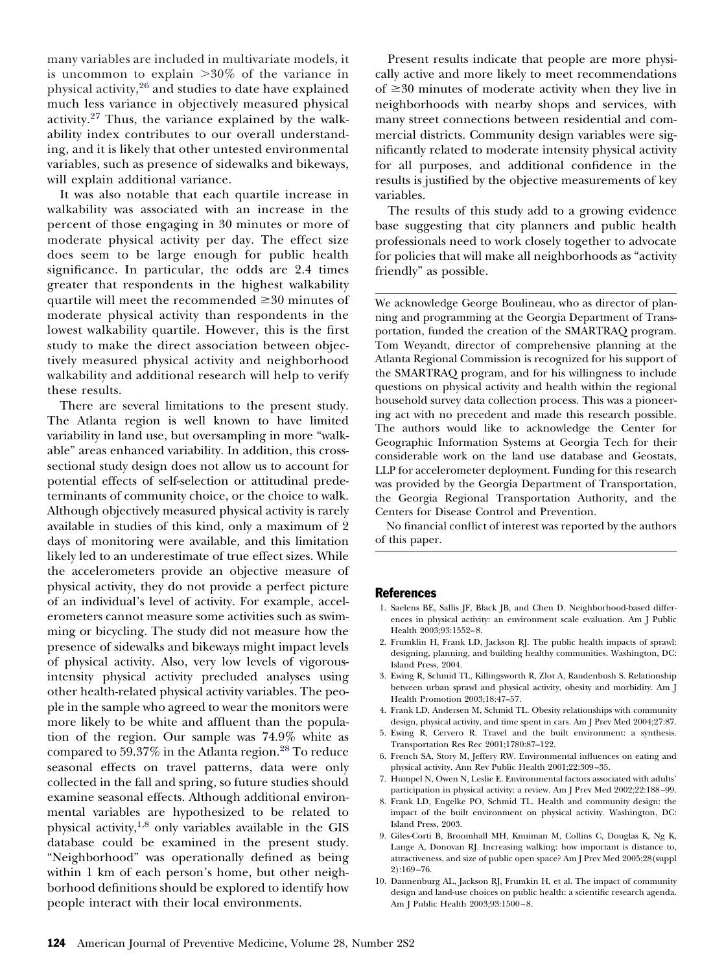<span id="page-7-0"></span>many variables are included in multivariate models, it is uncommon to explain  $>30\%$  of the variance in physical activity,[26](#page-8-0) and studies to date have explained much less variance in objectively measured physical activity.[27](#page-8-0) Thus, the variance explained by the walkability index contributes to our overall understanding, and it is likely that other untested environmental variables, such as presence of sidewalks and bikeways, will explain additional variance.

It was also notable that each quartile increase in walkability was associated with an increase in the percent of those engaging in 30 minutes or more of moderate physical activity per day. The effect size does seem to be large enough for public health significance. In particular, the odds are 2.4 times greater that respondents in the highest walkability quartile will meet the recommended  $\geq 30$  minutes of moderate physical activity than respondents in the lowest walkability quartile. However, this is the first study to make the direct association between objectively measured physical activity and neighborhood walkability and additional research will help to verify these results.

There are several limitations to the present study. The Atlanta region is well known to have limited variability in land use, but oversampling in more "walkable" areas enhanced variability. In addition, this crosssectional study design does not allow us to account for potential effects of self-selection or attitudinal predeterminants of community choice, or the choice to walk. Although objectively measured physical activity is rarely available in studies of this kind, only a maximum of 2 days of monitoring were available, and this limitation likely led to an underestimate of true effect sizes. While the accelerometers provide an objective measure of physical activity, they do not provide a perfect picture of an individual's level of activity. For example, accelerometers cannot measure some activities such as swimming or bicycling. The study did not measure how the presence of sidewalks and bikeways might impact levels of physical activity. Also, very low levels of vigorousintensity physical activity precluded analyses using other health-related physical activity variables. The people in the sample who agreed to wear the monitors were more likely to be white and affluent than the population of the region. Our sample was 74.9% white as compared to 59.37% in the Atlanta region.<sup>28</sup> To reduce seasonal effects on travel patterns, data were only collected in the fall and spring, so future studies should examine seasonal effects. Although additional environmental variables are hypothesized to be related to physical activity, $1,8$  only variables available in the GIS database could be examined in the present study. "Neighborhood" was operationally defined as being within 1 km of each person's home, but other neighborhood definitions should be explored to identify how people interact with their local environments.

Present results indicate that people are more physically active and more likely to meet recommendations of  $\geq$  30 minutes of moderate activity when they live in neighborhoods with nearby shops and services, with many street connections between residential and commercial districts. Community design variables were significantly related to moderate intensity physical activity for all purposes, and additional confidence in the results is justified by the objective measurements of key variables.

The results of this study add to a growing evidence base suggesting that city planners and public health professionals need to work closely together to advocate for policies that will make all neighborhoods as "activity friendly" as possible.

We acknowledge George Boulineau, who as director of planning and programming at the Georgia Department of Transportation, funded the creation of the SMARTRAQ program. Tom Weyandt, director of comprehensive planning at the Atlanta Regional Commission is recognized for his support of the SMARTRAQ program, and for his willingness to include questions on physical activity and health within the regional household survey data collection process. This was a pioneering act with no precedent and made this research possible. The authors would like to acknowledge the Center for Geographic Information Systems at Georgia Tech for their considerable work on the land use database and Geostats, LLP for accelerometer deployment. Funding for this research was provided by the Georgia Department of Transportation, the Georgia Regional Transportation Authority, and the Centers for Disease Control and Prevention.

No financial conflict of interest was reported by the authors of this paper.

### References

- 1. Saelens BE, Sallis JF, Black JB, and Chen D. Neighborhood-based differences in physical activity: an environment scale evaluation. Am J Public Health 2003;93:1552–8.
- 2. Frumklin H, Frank LD, Jackson RJ. The public health impacts of sprawl: designing, planning, and building healthy communities. Washington, DC: Island Press, 2004.
- 3. Ewing R, Schmid TL, Killingsworth R, Zlot A, Raudenbush S. Relationship between urban sprawl and physical activity, obesity and morbidity. Am J Health Promotion 2003;18:47–57.
- 4. Frank LD, Andersen M, Schmid TL. Obesity relationships with community design, physical activity, and time spent in cars. Am J Prev Med 2004;27:87.
- 5. Ewing R, Cervero R. Travel and the built environment: a synthesis. Transportation Res Rec 2001;1780:87–122.
- 6. French SA, Story M, Jeffery RW. Environmental influences on eating and physical activity. Ann Rev Public Health 2001;22:309–35.
- 7. Humpel N, Owen N, Leslie E. Environmental factors associated with adults' participation in physical activity: a review. Am J Prev Med 2002;22:188–99.
- 8. Frank LD, Engelke PO, Schmid TL. Health and community design: the impact of the built environment on physical activity. Washington, DC: Island Press, 2003.
- 9. Giles-Corti B, Broomhall MH, Knuiman M, Collins C, Douglas K, Ng K, Lange A, Donovan RJ. Increasing walking: how important is distance to, attractiveness, and size of public open space? Am J Prev Med 2005;28(suppl 2):169–76.
- 10. Dannenburg AL, Jackson RJ, Frumkin H, et al. The impact of community design and land-use choices on public health: a scientific research agenda. Am J Public Health 2003;93:1500–8.